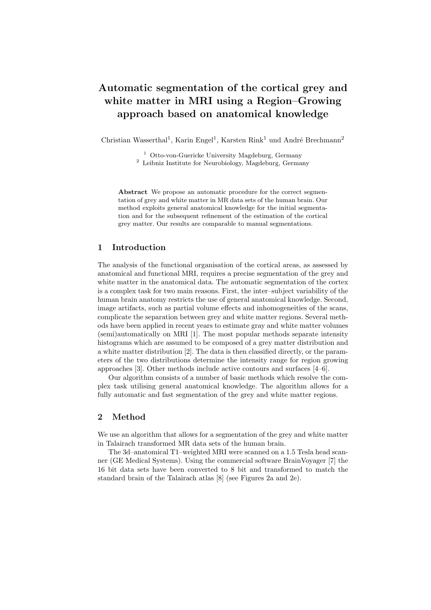# Automatic segmentation of the cortical grey and white matter in MRI using a Region–Growing approach based on anatomical knowledge

Christian Wasserthal<sup>1</sup>, Karin Engel<sup>1</sup>, Karsten Rink<sup>1</sup> und André Brechmann<sup>2</sup>

<sup>1</sup> Otto-von-Guericke University Magdeburg, Germany  $^{\rm 2}$  Leibniz Institute for Neurobiology, Magdeburg, Germany

Abstract We propose an automatic procedure for the correct segmentation of grey and white matter in MR data sets of the human brain. Our method exploits general anatomical knowledge for the initial segmentation and for the subsequent refinement of the estimation of the cortical grey matter. Our results are comparable to manual segmentations.

#### 1 Introduction

The analysis of the functional organisation of the cortical areas, as assessed by anatomical and functional MRI, requires a precise segmentation of the grey and white matter in the anatomical data. The automatic segmentation of the cortex is a complex task for two main reasons. First, the inter–subject variability of the human brain anatomy restricts the use of general anatomical knowledge. Second, image artifacts, such as partial volume effects and inhomogeneities of the scans, complicate the separation between grey and white matter regions. Several methods have been applied in recent years to estimate gray and white matter volumes (semi)automatically on MRI [1]. The most popular methods separate intensity histograms which are assumed to be composed of a grey matter distribution and a white matter distribution [2]. The data is then classified directly, or the parameters of the two distributions determine the intensity range for region growing approaches [3]. Other methods include active contours and surfaces [4–6].

Our algorithm consists of a number of basic methods which resolve the complex task utilising general anatomical knowledge. The algorithm allows for a fully automatic and fast segmentation of the grey and white matter regions.

## 2 Method

We use an algorithm that allows for a segmentation of the grey and white matter in Talairach transformed MR data sets of the human brain.

The 3d–anatomical T1–weighted MRI were scanned on a 1.5 Tesla head scanner (GE Medical Systems). Using the commercial software BrainVoyager [7] the 16 bit data sets have been converted to 8 bit and transformed to match the standard brain of the Talairach atlas [8] (see Figures 2a and 2e).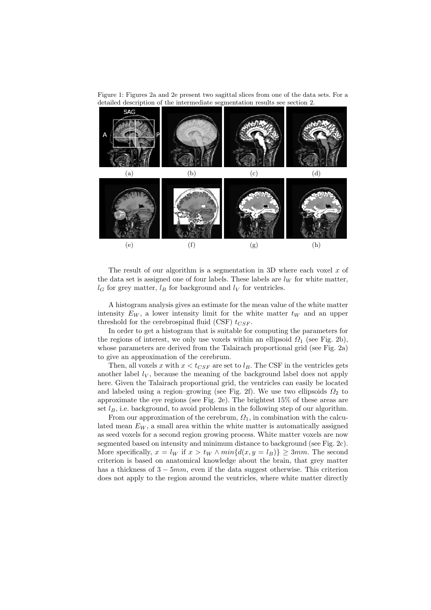Figure 1: Figures 2a and 2e present two sagittal slices from one of the data sets. For a detailed description of the intermediate segmentation results see section 2.



The result of our algorithm is a segmentation in 3D where each voxel  $x$  of the data set is assigned one of four labels. These labels are  $l_W$  for white matter,  $l_G$  for grey matter,  $l_B$  for background and  $l_V$  for ventricles.

A histogram analysis gives an estimate for the mean value of the white matter intensity  $E_W$ , a lower intensity limit for the white matter  $t_W$  and an upper threshold for the cerebrospinal fluid (CSF)  $t_{CSF}$ .

In order to get a histogram that is suitable for computing the parameters for the regions of interest, we only use voxels within an ellipsoid  $\Omega_1$  (see Fig. 2b), whose parameters are derived from the Talairach proportional grid (see Fig. 2a) to give an approximation of the cerebrum.

Then, all voxels x with  $x < t_{CSF}$  are set to  $l_B$ . The CSF in the ventricles gets another label  $l_V$ , because the meaning of the background label does not apply here. Given the Talairach proportional grid, the ventricles can easily be located and labeled using a region–growing (see Fig. 2f). We use two ellipsoids  $\Omega_2$  to approximate the eye regions (see Fig. 2e). The brightest 15% of these areas are set  $l_B$ , i.e. background, to avoid problems in the following step of our algorithm.

From our approximation of the cerebrum,  $\Omega_1$ , in combination with the calculated mean  $E_W$ , a small area within the white matter is automatically assigned as seed voxels for a second region growing process. White matter voxels are now segmented based on intensity and minimum distance to background (see Fig. 2c). More specifically,  $x = l_W$  if  $x > t_W \wedge min{d(x, y = l_B)} \geq 3mm$ . The second criterion is based on anatomical knowledge about the brain, that grey matter has a thickness of  $3 - 5mm$ , even if the data suggest otherwise. This criterion does not apply to the region around the ventricles, where white matter directly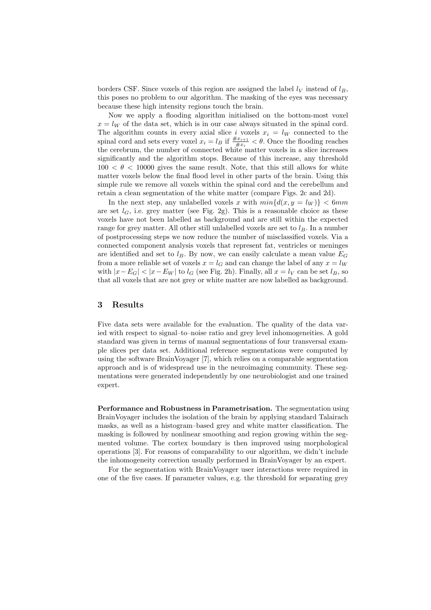borders CSF. Since voxels of this region are assigned the label  $l_V$  instead of  $l_B$ , this poses no problem to our algorithm. The masking of the eyes was necessary because these high intensity regions touch the brain.

Now we apply a flooding algorithm initialised on the bottom-most voxel  $x = l_W$  of the data set, which is in our case always situated in the spinal cord. The algorithm counts in every axial slice i voxels  $x_i = l_W$  connected to the spinal cord and sets every voxel  $x_i = l_B$  if  $\frac{\#x_{i+1}}{\#x_i} < \theta$ . Once the flooding reaches the cerebrum, the number of connected white matter voxels in a slice increases significantly and the algorithm stops. Because of this increase, any threshold  $100 < \theta < 10000$  gives the same result. Note, that this still allows for white matter voxels below the final flood level in other parts of the brain. Using this simple rule we remove all voxels within the spinal cord and the cerebellum and retain a clean segmentation of the white matter (compare Figs. 2c and 2d).

In the next step, any unlabelled voxels x with  $min{d(x, y = l_W)}$  < 6mm are set  $l_G$ , i.e. grey matter (see Fig. 2g). This is a reasonable choice as these voxels have not been labelled as background and are still within the expected range for grey matter. All other still unlabelled voxels are set to  $l_B$ . In a number of postprocessing steps we now reduce the number of misclassified voxels. Via a connected component analysis voxels that represent fat, ventricles or meninges are identified and set to  $l_B$ . By now, we can easily calculate a mean value  $E_G$ from a more reliable set of voxels  $x = l_G$  and can change the label of any  $x = l_W$ with  $|x-E_G| < |x-E_W|$  to  $l_G$  (see Fig. 2h). Finally, all  $x = l_V$  can be set  $l_B$ , so that all voxels that are not grey or white matter are now labelled as background.

#### 3 Results

Five data sets were available for the evaluation. The quality of the data varied with respect to signal–to–noise ratio and grey level inhomogeneities. A gold standard was given in terms of manual segmentations of four transversal example slices per data set. Additional reference segmentations were computed by using the software BrainVoyager [7], which relies on a comparable segmentation approach and is of widespread use in the neuroimaging community. These segmentations were generated independently by one neurobiologist and one trained expert.

Performance and Robustness in Parametrisation. The segmentation using BrainVoyager includes the isolation of the brain by applying standard Talairach masks, as well as a histogram–based grey and white matter classification. The masking is followed by nonlinear smoothing and region growing within the segmented volume. The cortex boundary is then improved using morphological operations [3]. For reasons of comparability to our algorithm, we didn't include the inhomogeneity correction usually performed in BrainVoyager by an expert.

For the segmentation with BrainVoyager user interactions were required in one of the five cases. If parameter values, e.g. the threshold for separating grey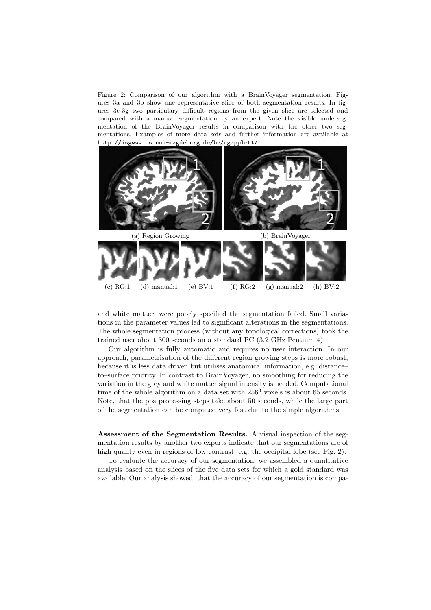Figure 2: Comparison of our algorithm with a BrainVoyager segmentation. Figures 3a and 3b show one representative slice of both segmentation results. In figures 3c-3g two particulary difficult regions from the given slice are selected and compared with a manual segmentation by an expert. Note the visible undersegmentation of the BrainVoyager results in comparison with the other two segmentations. Examples of more data sets and further information are available at http://isgwww.cs.uni-magdeburg.de/bv/rgapplett/.



and white matter, were poorly specified the segmentation failed. Small variations in the parameter values led to significant alterations in the segmentations. The whole segmentation process (without any topological corrections) took the trained user about 300 seconds on a standard PC (3.2 GHz Pentium 4).

Our algorithm is fully automatic and requires no user interaction. In our approach, parametrisation of the different region growing steps is more robust, because it is less data driven but utilises anatomical information, e.g. distance– to–surface priority. In contrast to BrainVoyager, no smoothing for reducing the variation in the grey and white matter signal intensity is needed. Computational time of the whole algorithm on a data set with  $256<sup>3</sup>$  voxels is about 65 seconds. Note, that the postprocessing steps take about 50 seconds, while the large part of the segmentation can be computed very fast due to the simple algorithms.

Assessment of the Segmentation Results. A visual inspection of the segmentation results by another two experts indicate that our segmentations are of high quality even in regions of low contrast, e.g. the occipital lobe (see Fig. 2).

To evaluate the accuracy of our segmentation, we assembled a quantitative analysis based on the slices of the five data sets for which a gold standard was available. Our analysis showed, that the accuracy of our segmentation is compa-